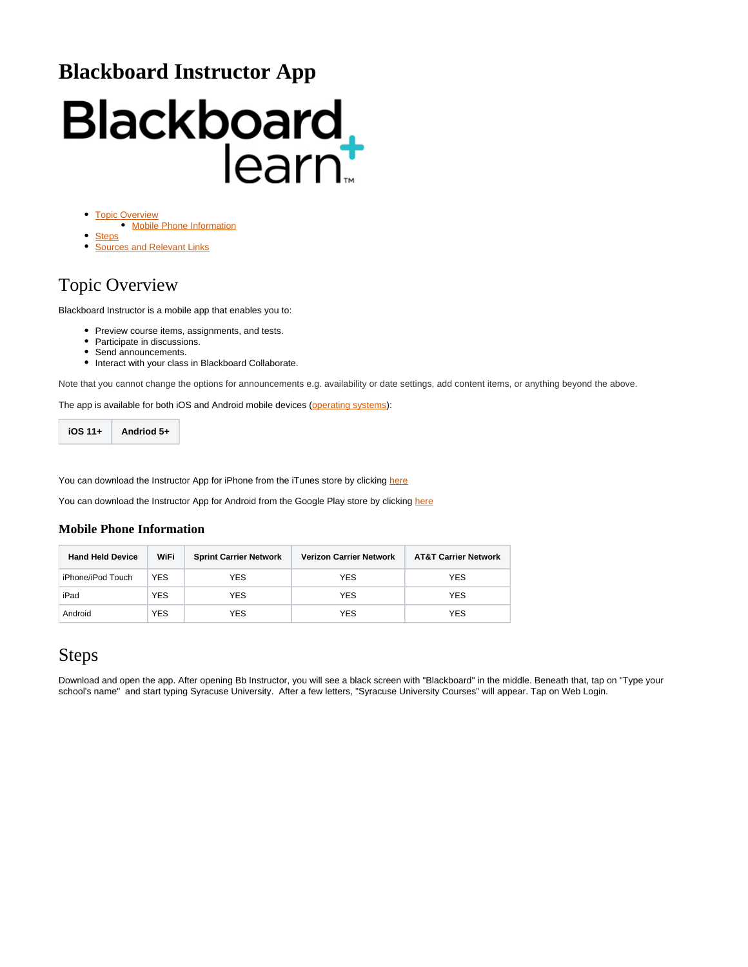# **Blackboard Instructor App**

# Blackboard<br>learnt

- [Topic Overview](#page-0-0)
	- [Mobile Phone Information](#page-0-1)
- **[Steps](#page-0-2)** [Sources and Relevant Links](#page-2-0)

# <span id="page-0-0"></span>Topic Overview

Blackboard Instructor is a mobile app that enables you to:

- Preview course items, assignments, and tests.
- Participate in discussions.
- Send announcements.
- $\bullet$  Interact with your class in Blackboard Collaborate.

Note that you cannot change the options for announcements e.g. availability or date settings, add content items, or anything beyond the above.

The app is available for both iOS and Android mobile devices ([operating systems](https://help.blackboard.com/Blackboard_App/Instructor/Quick_Start)):

**iOS 11+ Andriod 5+**

You can download the Instructor App for iPhone from the iTunes store by clicking [here](https://itunes.apple.com/us/app/blackboard-instructor/id1088457824?mt=8)

You can download the Instructor App for Android from the Google Play store by clicking [here](https://play.google.com/store/apps/details?id=com.blackboard.android.bbinstructor&hl=en)

### <span id="page-0-1"></span>**Mobile Phone Information**

| <b>Hand Held Device</b> | WiFi       | <b>Sprint Carrier Network</b> | <b>Verizon Carrier Network</b> | <b>AT&amp;T Carrier Network</b> |
|-------------------------|------------|-------------------------------|--------------------------------|---------------------------------|
| iPhone/iPod Touch       | <b>YES</b> | YES.                          | <b>YES</b>                     | <b>YES</b>                      |
| iPad                    | <b>YES</b> | YES.                          | <b>YES</b>                     | <b>YES</b>                      |
| Android                 | <b>YES</b> | YES                           | <b>YES</b>                     | <b>YES</b>                      |

# <span id="page-0-2"></span>Steps

Download and open the app. After opening Bb Instructor, you will see a black screen with "Blackboard" in the middle. Beneath that, tap on "Type your school's name" and start typing Syracuse University. After a few letters, "Syracuse University Courses" will appear. Tap on Web Login.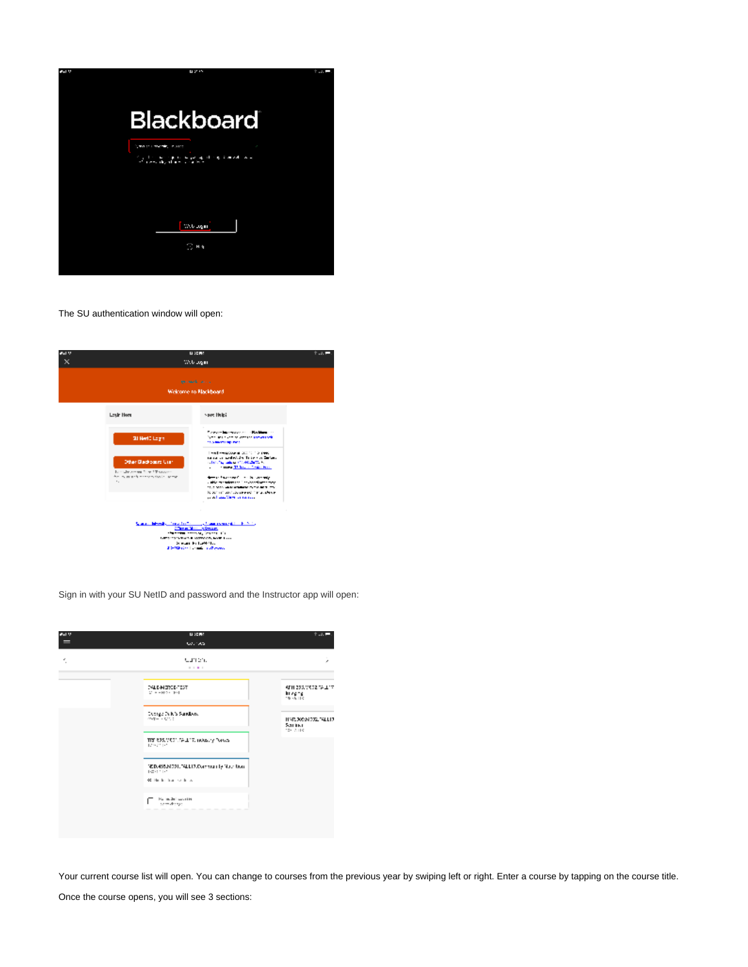

The SU authentication window will open:

| <b>BALM</b><br>× | <b>BISCHO</b><br>Web again                                                                                                                                       |                                                                                                                                                                                                                                                                                                                                                                                                                                                                           | t  = |
|------------------|------------------------------------------------------------------------------------------------------------------------------------------------------------------|---------------------------------------------------------------------------------------------------------------------------------------------------------------------------------------------------------------------------------------------------------------------------------------------------------------------------------------------------------------------------------------------------------------------------------------------------------------------------|------|
|                  |                                                                                                                                                                  | <b>Breakalk</b> and a<br>Welcome to Nackboard                                                                                                                                                                                                                                                                                                                                                                                                                             |      |
|                  | <b>Louir Here</b>                                                                                                                                                | vere links                                                                                                                                                                                                                                                                                                                                                                                                                                                                |      |
|                  | <b>SI Herit Login</b><br>Other Blackboxers User:<br>formulation and filling ST support-<br>from the present in the second dealer seconds.<br>$\mathbf{r}_\infty$ | Forever biometer and discharge to<br>Services such as any construction of<br>15.5 March 1991 Park<br>President accounts accept the sense<br>ranta un andedido. Tribe e o Sertera<br><b>CONTRACTOR AND ARTISTS AND INCOME.</b><br>contract Third Concentration<br>demand the context for the first committee<br>a stille management in the Association almost<br>10.00 MANUFACTURERS IN THE REST TO<br>IS SERIES WAS JOINTED OF THE UNIVER-<br>could deal them to success. |      |
|                  |                                                                                                                                                                  | Spania Mercia Constitution (1986) composite del 1970.<br>Che el Monte Storie Senior.<br><b>Chairman Contracts</b> Several Ca-<br>LATER SEVERAL E MATCHIN, NAT. Loss<br>Simula Full-Weller<br>20-Minutes Longitude Schools                                                                                                                                                                                                                                                 |      |

Sign in with your SU NetID and password and the Instructor app will open:



Your current course list will open. You can change to courses from the previous year by swiping left or right. Enter a course by tapping on the course title.

Once the course opens, you will see 3 sections: